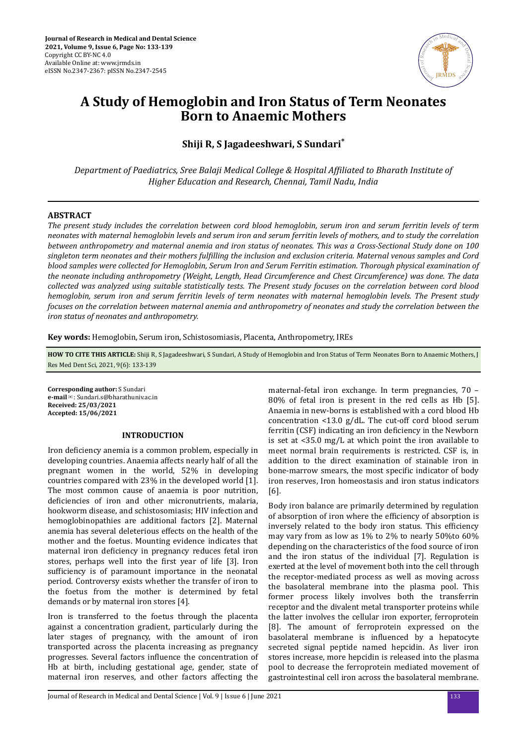

# **A Study of Hemoglobin and Iron Status of Term Neonates Born to Anaemic Mothers**

**Shiji R, S Jagadeeshwari, S Sundari\***

*Department of Paediatrics, Sree Balaji Medical College & Hospital Affiliated to Bharath Institute of Higher Education and Research, Chennai, Tamil Nadu, India*

# **ABSTRACT**

*The present study includes the correlation between cord blood hemoglobin, serum iron and serum ferritin levels of term neonates with maternal hemoglobin levels and serum iron and serum ferritin levels of mothers, and to study the correlation between anthropometry and maternal anemia and iron status of neonates. This was a Cross-Sectional Study done on 100 singleton term neonates and their mothers fuϔg the inclusion and exclusion criteria. Maternal venous samples and Cord blood samples were collected for Hemoglobin, Serum Iron and Serum Ferritin estimation. Thorough physical examination of the neonate including anthropometry (Weight, Length, Head Circumference and Chest Circumference) was done. The data collected was analyzed using suitable statistically tests. The Present study focuses on the correlation between cord blood hemoglobin, serum iron and serum ferritin levels of term neonates with maternal hemoglobin levels. The Present study focuses on the correlation between maternal anemia and anthropometry of neonates and study the correlation between the iron status of neonates and anthropometry.*

**Key words:** Hemoglobin, Serum iron, Schistosomiasis, Placenta, Anthropometry, IREs

**HOW TO CITE THIS ARTICLE:** Shiji R, S Jagadeeshwari, S Sundari, A Study of Hemoglobin and Iron Status of Term Neonates Born to Anaemic Mothers, J Res Med Dent Sci, 2021, 9(6): 133-139

**Corresponding author:** S Sundari **e-mail**✉: Sundari.s@bharathuniv.ac.in **Received: 25/03/2021 Accepted: 15/06/2021** 

## **INTRODUCTION**

Iron deficiency anemia is a common problem, especially in developing countries. Anaemia affects nearly half of all the pregnant women in the world, 52% in developing countries compared with 23% in the developed world [1]. The most common cause of anaemia is poor nutrition, deficiencies of iron and other micronutrients, malaria, hookworm disease, and schistosomiasis; HIV infection and hemoglobinopathies are additional factors [2]. Maternal anemia has several deleterious effects on the health of the mother and the foetus. Mounting evidence indicates that maternal iron deficiency in pregnancy reduces fetal iron stores, perhaps well into the first year of life [3]. Iron sufficiency is of paramount importance in the neonatal period. Controversy exists whether the transfer of iron to the foetus from the mother is determined by fetal demands or by maternal iron stores [4].

Iron is transferred to the foetus through the placenta against a concentration gradient, particularly during the later stages of pregnancy, with the amount of iron transported across the placenta increasing as pregnancy progresses. Several factors influence the concentration of Hb at birth, including gestational age, gender, state of maternal iron reserves, and other factors affecting the

maternal-fetal iron exchange. In term pregnancies, 70 – 80% of fetal iron is present in the red cells as Hb [5]. Anaemia in new-borns is established with a cord blood Hb concentration <13.0 g/dL. The cut-off cord blood serum ferritin (CSF) indicating an iron deficiency in the Newborn is set at <35.0 mg/L at which point the iron available to meet normal brain requirements is restricted. CSF is, in addition to the direct examination of stainable iron in bone-marrow smears, the most specific indicator of body iron reserves, Iron homeostasis and iron status indicators [6].

Body iron balance are primarily determined by regulation of absorption of iron where the efficiency of absorption is inversely related to the body iron status. This efficiency may vary from as low as 1% to 2% to nearly 50%to 60% depending on the characteristics of the food source of iron and the iron status of the individual [7]. Regulation is exerted at the level of movement both into the cell through the receptor-mediated process as well as moving across the basolateral membrane into the plasma pool. This former process likely involves both the transferrin receptor and the divalent metal transporter proteins while the latter involves the cellular iron exporter, ferroprotein [8]. The amount of ferroprotein expressed on the basolateral membrane is influenced by a hepatocyte secreted signal peptide named hepcidin. As liver iron stores increase, more hepcidin is released into the plasma pool to decrease the ferroprotein mediated movement of gastrointestinal cell iron across the basolateral membrane.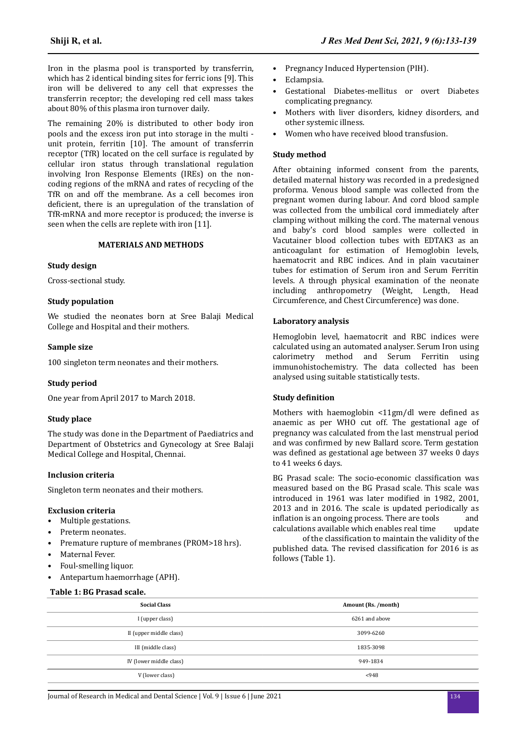Iron in the plasma pool is transported by transferrin, which has 2 identical binding sites for ferric ions [9]. This iron will be delivered to any cell that expresses the transferrin receptor; the developing red cell mass takes about 80% of this plasma iron turnover daily.

The remaining 20% is distributed to other body iron pools and the excess iron put into storage in the multi unit protein, ferritin [10]. The amount of transferrin receptor (TfR) located on the cell surface is regulated by cellular iron status through translational regulation involving Iron Response Elements (IREs) on the noncoding regions of the mRNA and rates of recycling of the TfR on and off the membrane. As a cell becomes iron deficient, there is an upregulation of the translation of TfR-mRNA and more receptor is produced; the inverse is seen when the cells are replete with iron [11].

### **MATERIALS AND METHODS**

## **Study design**

Cross-sectional study.

### **Study population**

We studied the neonates born at Sree Balaji Medical College and Hospital and their mothers.

#### **Sample size**

100 singleton term neonates and their mothers.

### **Study period**

One year from April 2017 to March 2018.

## **Study place**

The study was done in the Department of Paediatrics and Department of Obstetrics and Gynecology at Sree Balaji Medical College and Hospital, Chennai.

#### **Inclusion criteria**

Singleton term neonates and their mothers.

#### **Exclusion criteria**

- Multiple gestations.
- Preterm neonates.
- Premature rupture of membranes (PROM>18 hrs).
- Maternal Fever.
- Foul-smelling liquor.
- Antepartum haemorrhage (APH).

#### **Table 1: BG Prasad scale.**

- Pregnancy Induced Hypertension (PIH).
- Eclampsia.
- Gestational Diabetes-mellitus or overt Diabetes complicating pregnancy.
- Mothers with liver disorders, kidney disorders, and other systemic illness.
- Women who have received blood transfusion.

#### **Study method**

After obtaining informed consent from the parents, detailed maternal history was recorded in a predesigned proforma. Venous blood sample was collected from the pregnant women during labour. And cord blood sample was collected from the umbilical cord immediately after clamping without milking the cord. The maternal venous and baby's cord blood samples were collected in Vacutainer blood collection tubes with EDTAK3 as an anticoagulant for estimation of Hemoglobin levels, haematocrit and RBC indices. And in plain vacutainer tubes for estimation of Serum iron and Serum Ferritin levels. A through physical examination of the neonate including anthropometry (Weight, Length, Head Circumference, and Chest Circumference) was done.

#### **Laboratory analysis**

Hemoglobin level, haematocrit and RBC indices were calculated using an automated analyser. Serum Iron using calorimetry method and Serum Ferritin using immunohistochemistry. The data collected has been analysed using suitable statistically tests.

#### **Study definition**

Mothers with haemoglobin  $\langle 11gm/d$ l were defined as anaemic as per WHO cut off. The gestational age of pregnancy was calculated from the last menstrual period and was confirmed by new Ballard score. Term gestation was defined as gestational age between 37 weeks 0 days to 41 weeks 6 days.

BG Prasad scale: The socio-economic classification was measured based on the BG Prasad scale. This scale was introduced in 1961 was later modified in 1982, 2001, 2013 and in 2016. The scale is updated periodically as inflation is an ongoing process. There are tools and calculations available which enables real time update

of the classification to maintain the validity of the published data. The revised classification for 2016 is as follows (Table 1).

| II (upper middle class) | 3099-6260 |
|-------------------------|-----------|
| III (middle class)      | 1835-3098 |
| IV (lower middle class) | 949-1834  |
| V (lower class)         | < 948     |
|                         |           |

**Social Class Amount (Rs. /month)** I (upper class) 6261 and above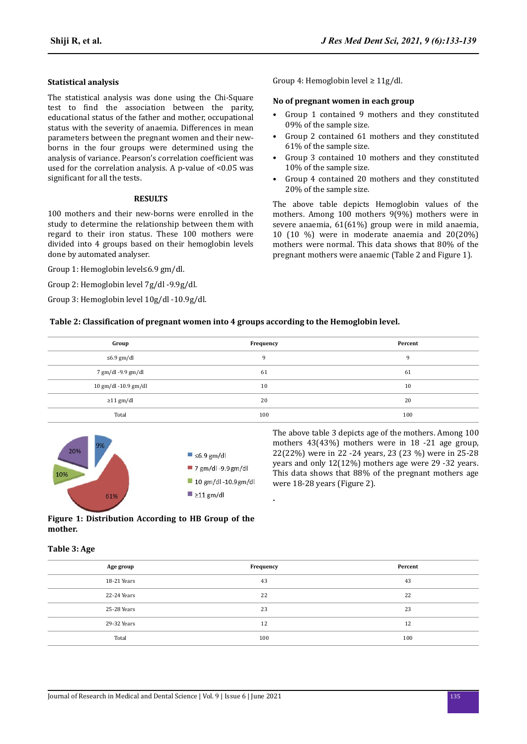# **Statistical analysis**

The statistical analysis was done using the Chi-Square test to find the association between the parity, educational status of the father and mother, occupational status with the severity of anaemia. Differences in mean parameters between the pregnant women and their newborns in the four groups were determined using the analysis of variance. Pearson's correlation coefficient was used for the correlation analysis. A p-value of <0.05 was significant for all the tests.

## **RESULTS**

100 mothers and their new-borns were enrolled in the study to determine the relationship between them with regard to their iron status. These 100 mothers were divided into 4 groups based on their hemoglobin levels done by automated analyser.

Group 1: Hemoglobin level≤6.9 gm/dl.

Group 2: Hemoglobin level 7g/dl -9.9g/dl.

Group 3: Hemoglobin level 10g/dl -10.9g/dl.

Group 4: Hemoglobin level ≥ 11g/dl.

#### **No of pregnant women in each group**

- Group 1 contained 9 mothers and they constituted 09% of the sample size.
- Group 2 contained 61 mothers and they constituted 61% of the sample size.
- Group 3 contained 10 mothers and they constituted 10% of the sample size.
- Group 4 contained 20 mothers and they constituted 20% of the sample size.

The above table depicts Hemoglobin values of the mothers. Among 100 mothers 9(9%) mothers were in severe anaemia, 61(61%) group were in mild anaemia, 10 (10 %) were in moderate anaemia and 20(20%) mothers were normal. This data shows that 80% of the pregnant mothers were anaemic (Table 2 and Figure 1).

#### **Table 2: Classification of pregnant women into 4 groups according to the Hemoglobin level.**

| Group                | Frequency | Percent |
|----------------------|-----------|---------|
| $\leq 6.9$ gm/dl     | 9         | q       |
| 7 gm/dl -9.9 gm/dl   | 61        | 61      |
| 10 gm/dl -10.9 gm/dl | 10        | 10      |
| $\geq$ 11 gm/dl      | 20        | 20      |
| Total                | 100       | 100     |



The above table 3 depicts age of the mothers. Among 100 mothers 43(43%) mothers were in 18 -21 age group, 22(22%) were in 22 -24 years, 23 (23 %) were in 25-28 years and only 12(12%) mothers age were 29 -32 years. This data shows that 88% of the pregnant mothers age were 18-28 years (Figure 2).

# **Figure 1: Distribution According to HB Group of the mother.**

# **Table 3: Age**

| Age group   | Frequency | Percent |
|-------------|-----------|---------|
| 18-21 Years | 43        | 43      |
| 22-24 Years | 22        | 22      |
| 25-28 Years | 23        | 23      |
| 29-32 Years | 12        | 12      |
| Total       | 100       | 100     |

**.**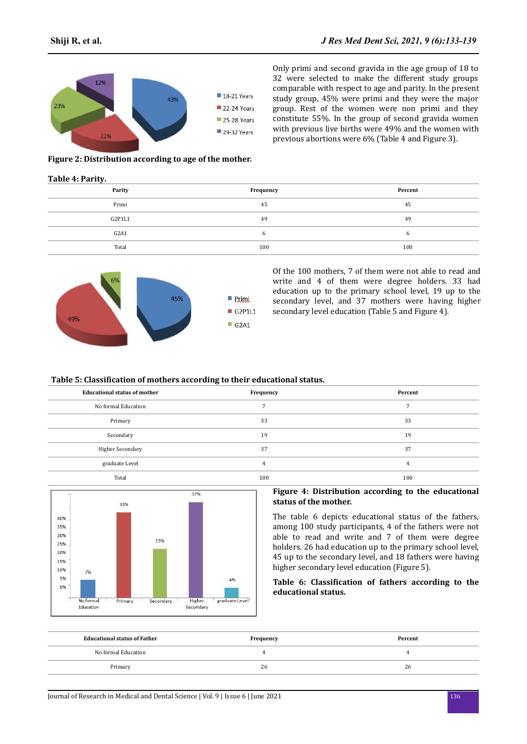Only primi and second gravida in the age group of 18 to 32 were selected to make the different study groups comparable with respect to age and parity. In the present study group, 45% were primi and they were the major group. Rest of the women were non primi and they constitute 55%. In the group of second gravida women with previous live births were 49% and the women with previous abortions were 6% (Table 4 and Figure 3).



**Figure 2: Distribution according to age of the mother.**

#### **Table 4: Parity.**

| Parity | Frequency | Percent |
|--------|-----------|---------|
| Primi  | 45        | 45      |
| G2P1L1 | 49        | 49      |
| G2A1   | h         |         |
| Total  | 100       | 100     |



Of the 100 mothers, 7 of them were not able to read and write and 4 of them were degree holders. 33 had education up to the primary school level, 19 up to the secondary level, and 37 mothers were having higher secondary level education (Table 5 and Figure 4).

## **Figure 3: Distribution according to parity of the mother.**

#### **Table 5: Classification of mothers according to their educational status.**

| <b>Educational status of mother</b> | Frequency | Percent |
|-------------------------------------|-----------|---------|
| No formal Education                 |           |         |
| Primary                             | 33        | 33      |
| Secondary                           | 19        | 19      |
| Higher Secondary                    | 37        | 37      |
| graduate Level                      | 4         | 4       |
| Total                               | 100       | 100     |



#### **Figure 4: Distribution according to the educational status of the mother.**

The table 6 depicts educational status of the fathers, among 100 study participants, 4 of the fathers were not able to read and write and 7 of them were degree holders. 26 had education up to the primary school level, 45 up to the secondary level, and 18 fathers were having higher secondary level education (Figure 5).

## Table 6: Classification of fathers according to the **educational status.**

| <b>Educational status of Father</b> | Frequency | Percent |
|-------------------------------------|-----------|---------|
| No formal Education                 |           |         |
| Primary                             | 26        | 26      |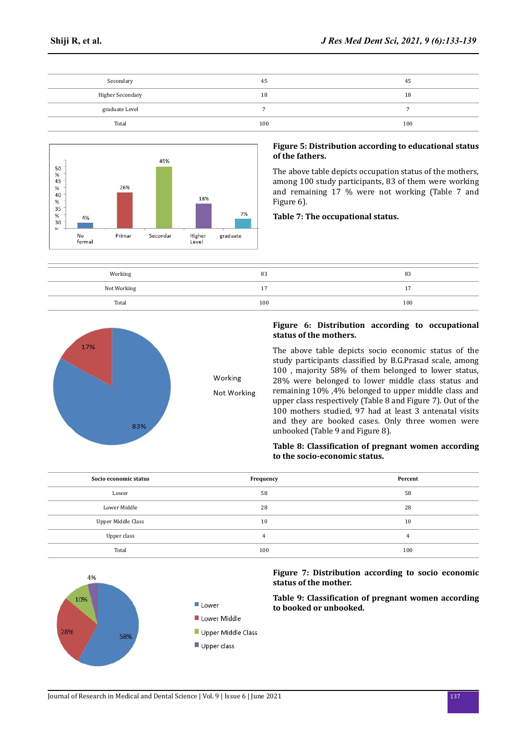| Secondary        | 45  | 45  |
|------------------|-----|-----|
| Higher Secondary | 18  | 18  |
| graduate Level   |     |     |
| Total            | 100 | 100 |



## **Figure 5: Distribution according to educational status of the fathers.**

The above table depicts occupation status of the mothers, among 100 study participants, 83 of them were working and remaining 17 % were not working (Table 7 and Figure 6).

## **Table 7: The occupational status.**

| Working     | 83  | 83       |
|-------------|-----|----------|
| Not Working |     | <b>.</b> |
| Total       | 100 | 100      |



# **Figure 6: Distribution according to occupational status of the mothers.**

The above table depicts socio economic status of the study participants classified by B.G.Prasad scale, among 100 , majority 58% of them belonged to lower status, 28% were belonged to lower middle class status and remaining 10% ,4% belonged to upper middle class and upper class respectively (Table 8 and Figure 7). Out of the 100 mothers studied, 97 had at least 3 antenatal visits and they are booked cases. Only three women were unbooked (Table 9 and Figure 8).

## **Table 8: Classification of pregnant women according to the socio-economic status.**

| Socio economic status | Frequency | Percent |
|-----------------------|-----------|---------|
| Lower                 | 58        | 58      |
| Lower Middle          | 28        | 28      |
| Upper Middle Class    | 10        | 10      |
| Upper class           | 4         |         |
| Total                 | 100       | 100     |



# **Figure 7: Distribution according to socio economic status of the mother.**

**Table 9: Classification of pregnant women according to booked or unbooked.**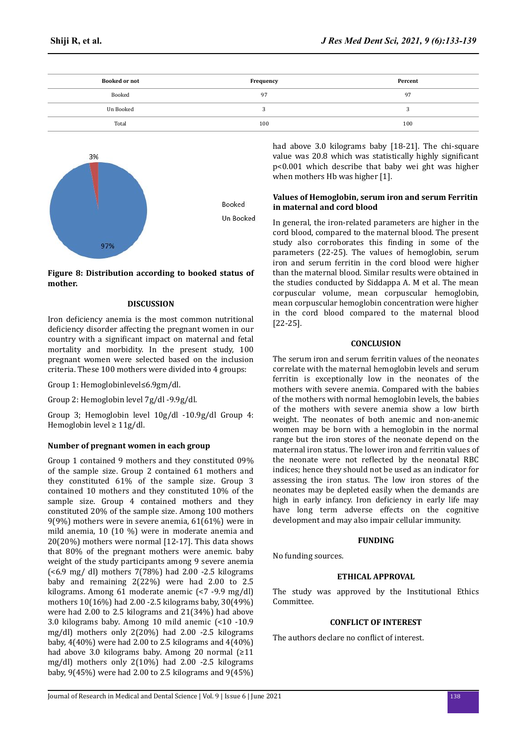| <b>Booked or not</b> | Frequency | Percent |
|----------------------|-----------|---------|
| Booked               | 97        | 97      |
| Un Booked            |           |         |
| Total                | 100       | 100     |



**Figure 8: Distribution according to booked status of mother.**

## **DISCUSSION**

Iron deficiency anemia is the most common nutritional deficiency disorder affecting the pregnant women in our country with a significant impact on maternal and fetal mortality and morbidity. In the present study, 100 pregnant women were selected based on the inclusion criteria. These 100 mothers were divided into 4 groups:

Group 1: Hemoglobinlevel≤6.9gm/dl.

Group 2: Hemoglobin level 7g/dl -9.9g/dl.

Group 3; Hemoglobin level 10g/dl -10.9g/dl Group 4: Hemoglobin level ≥ 11g/dl.

# **Number of pregnant women in each group**

Group 1 contained 9 mothers and they constituted 09% of the sample size. Group 2 contained 61 mothers and they constituted 61% of the sample size. Group 3 contained 10 mothers and they constituted 10% of the sample size. Group 4 contained mothers and they constituted 20% of the sample size. Among 100 mothers 9(9%) mothers were in severe anemia, 61(61%) were in mild anemia, 10 (10 %) were in moderate anemia and 20(20%) mothers were normal [12-17]. This data shows that 80% of the pregnant mothers were anemic. baby weight of the study participants among 9 severe anemia (<6.9 mg/ dl) mothers 7(78%) had 2.00 -2.5 kilograms baby and remaining 2(22%) were had 2.00 to 2.5 kilograms. Among 61 moderate anemic (<7 -9.9 mg/dl) mothers 10(16%) had 2.00 -2.5 kilograms baby, 30(49%) were had 2.00 to 2.5 kilograms and 21(34%) had above 3.0 kilograms baby. Among 10 mild anemic (<10 -10.9 mg/dl) mothers only 2(20%) had 2.00 -2.5 kilograms baby, 4(40%) were had 2.00 to 2.5 kilograms and 4(40%) had above 3.0 kilograms baby. Among 20 normal (≥11 mg/dl) mothers only 2(10%) had 2.00 -2.5 kilograms baby, 9(45%) were had 2.00 to 2.5 kilograms and 9(45%) had above 3.0 kilograms baby [18-21]. The chi-square value was 20.8 which was statistically highly significant p<0.001 which describe that baby wei ght was higher when mothers Hb was higher [1].

## **Values of Hemoglobin, serum iron and serum Ferritin in maternal and cord blood**

In general, the iron-related parameters are higher in the cord blood, compared to the maternal blood. The present study also corroborates this finding in some of the parameters (22-25). The values of hemoglobin, serum iron and serum ferritin in the cord blood were higher than the maternal blood. Similar results were obtained in the studies conducted by Siddappa A. M et al. The mean corpuscular volume, mean corpuscular hemoglobin, mean corpuscular hemoglobin concentration were higher in the cord blood compared to the maternal blood [22-25].

# **CONCLUSION**

The serum iron and serum ferritin values of the neonates correlate with the maternal hemoglobin levels and serum ferritin is exceptionally low in the neonates of the mothers with severe anemia. Compared with the babies of the mothers with normal hemoglobin levels, the babies of the mothers with severe anemia show a low birth weight. The neonates of both anemic and non-anemic women may be born with a hemoglobin in the normal range but the iron stores of the neonate depend on the maternal iron status. The lower iron and ferritin values of the neonate were not reflected by the neonatal RBC indices; hence they should not be used as an indicator for assessing the iron status. The low iron stores of the neonates may be depleted easily when the demands are high in early infancy. Iron deficiency in early life may have long term adverse effects on the cognitive development and may also impair cellular immunity.

### **FUNDING**

No funding sources.

## **ETHICAL APPROVAL**

The study was approved by the Institutional Ethics Committee.

## **CONFLICT OF INTEREST**

The authors declare no conflict of interest.